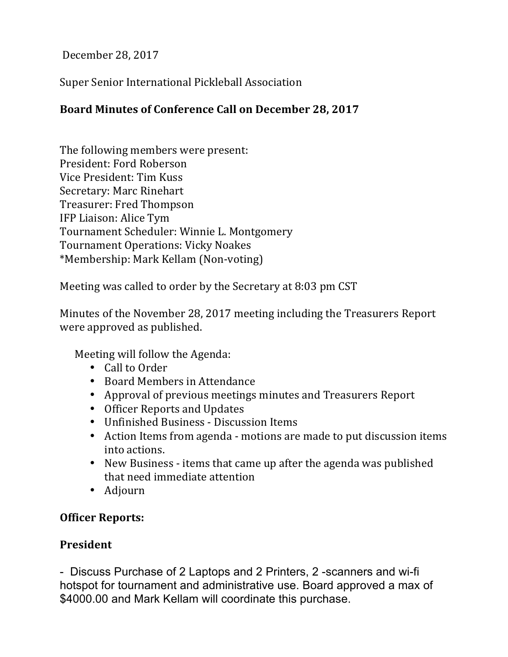December 28, 2017

Super Senior International Pickleball Association

## Board Minutes of Conference Call on December 28, 2017

The following members were present: President: Ford Roberson Vice President: Tim Kuss Secretary: Marc Rinehart Treasurer: Fred Thompson IFP Liaison: Alice Tym Tournament Scheduler: Winnie L. Montgomery Tournament Operations: Vicky Noakes \*Membership: Mark Kellam (Non-voting)

Meeting was called to order by the Secretary at 8:03 pm CST

Minutes of the November 28, 2017 meeting including the Treasurers Report were approved as published.

Meeting will follow the Agenda:

- Call to Order
- Board Members in Attendance
- Approval of previous meetings minutes and Treasurers Report
- Officer Reports and Updates
- Unfinished Business Discussion Items
- Action Items from agenda motions are made to put discussion items into actions.
- New Business items that came up after the agenda was published that need immediate attention
- Adjourn

### **Officer Reports:**

### **President**

- Discuss Purchase of 2 Laptops and 2 Printers, 2 -scanners and wi-fi hotspot for tournament and administrative use. Board approved a max of \$4000.00 and Mark Kellam will coordinate this purchase.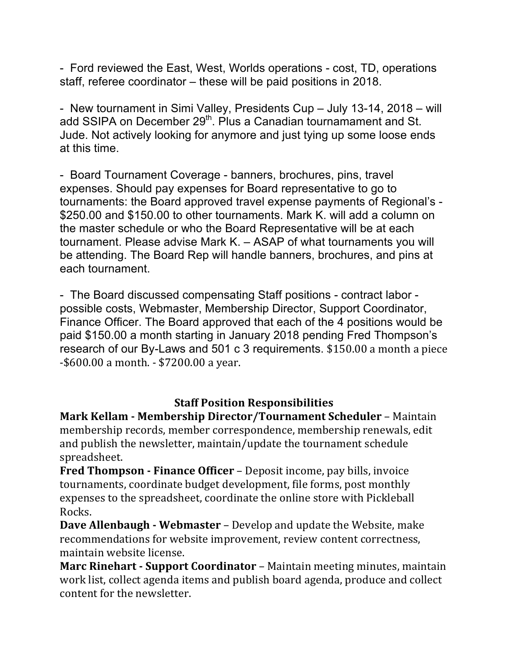- Ford reviewed the East, West, Worlds operations - cost, TD, operations staff, referee coordinator – these will be paid positions in 2018.

- New tournament in Simi Valley, Presidents Cup – July 13-14, 2018 – will add SSIPA on December 29<sup>th</sup>. Plus a Canadian tournamament and St. Jude. Not actively looking for anymore and just tying up some loose ends at this time.

- Board Tournament Coverage - banners, brochures, pins, travel expenses. Should pay expenses for Board representative to go to tournaments: the Board approved travel expense payments of Regional's - \$250.00 and \$150.00 to other tournaments. Mark K. will add a column on the master schedule or who the Board Representative will be at each tournament. Please advise Mark K. – ASAP of what tournaments you will be attending. The Board Rep will handle banners, brochures, and pins at each tournament.

- The Board discussed compensating Staff positions - contract labor possible costs, Webmaster, Membership Director, Support Coordinator, Finance Officer. The Board approved that each of the 4 positions would be paid \$150.00 a month starting in January 2018 pending Fred Thompson's research of our By-Laws and 501 c 3 requirements. \$150.00 a month a piece  $-$ \$600.00 a month.  $-$  \$7200.00 a year.

#### **Staff Position Responsibilities**

**Mark Kellam - Membership Director/Tournament Scheduler** – Maintain membership records, member correspondence, membership renewals, edit and publish the newsletter, maintain/update the tournament schedule spreadsheet.

**Fred Thompson - Finance Officer** – Deposit income, pay bills, invoice tournaments, coordinate budget development, file forms, post monthly expenses to the spreadsheet, coordinate the online store with Pickleball Rocks.

**Dave Allenbaugh - Webmaster** – Develop and update the Website, make recommendations for website improvement, review content correctness, maintain website license.

**Marc Rinehart - Support Coordinator** – Maintain meeting minutes, maintain work list, collect agenda items and publish board agenda, produce and collect content for the newsletter.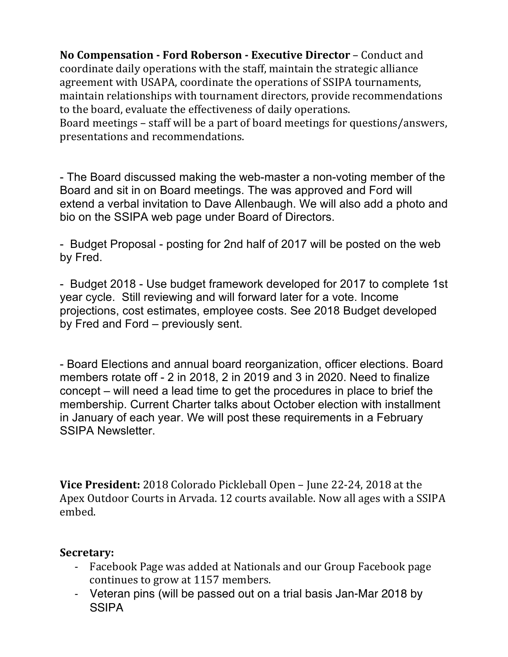**No Compensation - Ford Roberson - Executive Director – Conduct and** coordinate daily operations with the staff, maintain the strategic alliance agreement with USAPA, coordinate the operations of SSIPA tournaments, maintain relationships with tournament directors, provide recommendations to the board, evaluate the effectiveness of daily operations. Board meetings – staff will be a part of board meetings for questions/answers,

presentations and recommendations.

- The Board discussed making the web-master a non-voting member of the Board and sit in on Board meetings. The was approved and Ford will extend a verbal invitation to Dave Allenbaugh. We will also add a photo and bio on the SSIPA web page under Board of Directors.

- Budget Proposal - posting for 2nd half of 2017 will be posted on the web by Fred.

- Budget 2018 - Use budget framework developed for 2017 to complete 1st year cycle. Still reviewing and will forward later for a vote. Income projections, cost estimates, employee costs. See 2018 Budget developed by Fred and Ford – previously sent.

- Board Elections and annual board reorganization, officer elections. Board members rotate off - 2 in 2018, 2 in 2019 and 3 in 2020. Need to finalize concept – will need a lead time to get the procedures in place to brief the membership. Current Charter talks about October election with installment in January of each year. We will post these requirements in a February SSIPA Newsletter.

**Vice President:** 2018 Colorado Pickleball Open – June 22-24, 2018 at the Apex Outdoor Courts in Arvada. 12 courts available. Now all ages with a SSIPA embed. 

### **Secretary:**

- Facebook Page was added at Nationals and our Group Facebook page continues to grow at 1157 members.
- Veteran pins (will be passed out on a trial basis Jan-Mar 2018 by **SSIPA**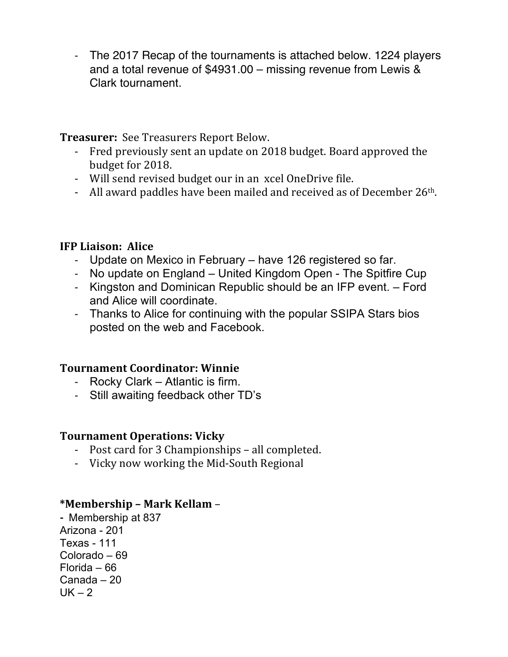- The 2017 Recap of the tournaments is attached below. 1224 players and a total revenue of \$4931.00 – missing revenue from Lewis & Clark tournament.

**Treasurer:** See Treasurers Report Below.

- Fred previously sent an update on 2018 budget. Board approved the budget for 2018.
- Will send revised budget our in an xcel OneDrive file.
- All award paddles have been mailed and received as of December  $26<sup>th</sup>$ .

# **IFP Liaison: Alice**

- Update on Mexico in February have 126 registered so far.
- No update on England United Kingdom Open The Spitfire Cup
- Kingston and Dominican Republic should be an IFP event. Ford and Alice will coordinate.
- Thanks to Alice for continuing with the popular SSIPA Stars bios posted on the web and Facebook.

# **Tournament Coordinator: Winnie**

- Rocky Clark Atlantic is firm.
- Still awaiting feedback other TD's

# **Tournament Operations: Vicky**

- Post card for 3 Championships all completed.
- Vicky now working the Mid-South Regional

# **\*Membership – Mark Kellam** –

**-** Membership at 837 Arizona - 201 Texas - 111 Colorado – 69 Florida – 66 Canada – 20  $UK - 2$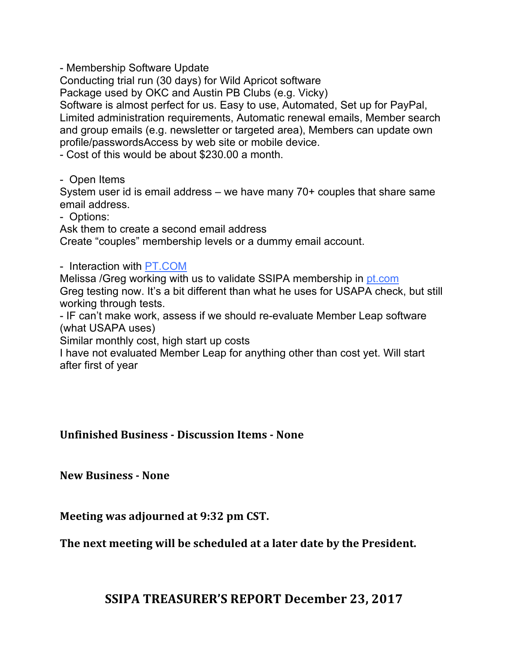- Membership Software Update

Conducting trial run (30 days) for Wild Apricot software

Package used by OKC and Austin PB Clubs (e.g. Vicky)

Software is almost perfect for us. Easy to use, Automated, Set up for PayPal, Limited administration requirements, Automatic renewal emails, Member search and group emails (e.g. newsletter or targeted area), Members can update own profile/passwordsAccess by web site or mobile device.

- Cost of this would be about \$230.00 a month.

- Open Items

System user id is email address – we have many 70+ couples that share same email address.

- Options:

Ask them to create a second email address

Create "couples" membership levels or a dummy email account.

- Interaction with PT.COM

Melissa /Greg working with us to validate SSIPA membership in pt.com Greg testing now. It's a bit different than what he uses for USAPA check, but still working through tests.

- IF can't make work, assess if we should re-evaluate Member Leap software (what USAPA uses)

Similar monthly cost, high start up costs

I have not evaluated Member Leap for anything other than cost yet. Will start after first of year

### **Unfinished Business - Discussion Items - None**

**New Business - None**

**Meeting was adjourned at 9:32 pm CST.** 

The next meeting will be scheduled at a later date by the President.

# **SSIPA TREASURER'S REPORT December 23, 2017**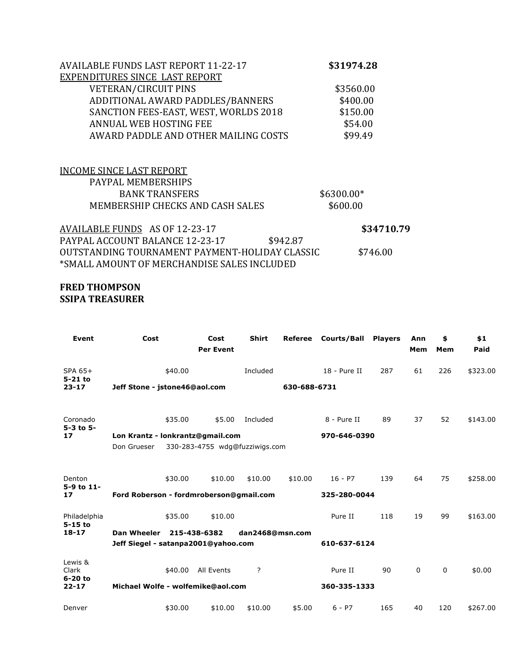| <b>AVAILABLE FUNDS LAST REPORT 11-22-17</b> | \$31974.28 |
|---------------------------------------------|------------|
| EXPENDITURES SINCE LAST REPORT              |            |
| <b>VETERAN/CIRCUIT PINS</b>                 | \$3560.00  |
| ADDITIONAL AWARD PADDLES/BANNERS            | \$400.00   |
| SANCTION FEES-EAST, WEST, WORLDS 2018       | \$150.00   |
| ANNUAL WEB HOSTING FEE                      | \$54.00    |
| AWARD PADDLE AND OTHER MAILING COSTS        | \$99.49    |

| INCOME SINCE LAST REPORT         |             |  |
|----------------------------------|-------------|--|
| PAYPAL MEMBERSHIPS               |             |  |
| <b>BANK TRANSFERS</b>            | $$6300.00*$ |  |
| MEMBERSHIP CHECKS AND CASH SALES | \$600.00    |  |
|                                  |             |  |

| AVAILABLE FUNDS AS OF 12-23-17                 |          | \$34710.79 |
|------------------------------------------------|----------|------------|
| PAYPAL ACCOUNT BALANCE 12-23-17                | \$942.87 |            |
| OUTSTANDING TOURNAMENT PAYMENT-HOLIDAY CLASSIC |          | \$746.00   |
| *SMALL AMOUNT OF MERCHANDISE SALES INCLUDED    |          |            |

#### **FRED THOMPSON SSIPA TREASURER**

| <b>Event</b>                 | Cost                                                |              | Cost<br><b>Per Event</b>       | <b>Shirt</b>    | Referee      | <b>Courts/Ball</b> | <b>Players</b> | Ann<br>Mem | \$<br>Mem | \$1<br>Paid |
|------------------------------|-----------------------------------------------------|--------------|--------------------------------|-----------------|--------------|--------------------|----------------|------------|-----------|-------------|
| SPA 65+<br>5-21 to           |                                                     | \$40.00      |                                | Included        |              | 18 - Pure II       | 287            | 61         | 226       | \$323.00    |
| $23 - 17$                    | Jeff Stone - jstone46@aol.com                       |              |                                |                 | 630-688-6731 |                    |                |            |           |             |
| Coronado<br>$5 - 3$ to $5 -$ |                                                     | \$35.00      | \$5.00                         | Included        |              | 8 - Pure II        | 89             | 37         | 52        | \$143.00    |
| 17                           | Lon Krantz - lonkrantz@gmail.com                    | 970-646-0390 |                                |                 |              |                    |                |            |           |             |
|                              | Don Grueser                                         |              | 330-283-4755 wdg@fuzziwigs.com |                 |              |                    |                |            |           |             |
| Denton<br>5-9 to 11-         |                                                     | \$30.00      | \$10.00                        | \$10.00         | \$10.00      | $16 - P7$          | 139            | 64         | 75        | \$258.00    |
| 17                           | Ford Roberson - fordmroberson@gmail.com             |              |                                |                 |              | 325-280-0044       |                |            |           |             |
| Philadelphia<br>$5-15$ to    |                                                     | \$35.00      | \$10.00                        |                 |              | Pure II            | 118            | 19         | 99        | \$163.00    |
| $18 - 17$                    | Dan Wheeler                                         |              | 215-438-6382                   | dan2468@msn.com |              |                    |                |            |           |             |
|                              | 610-637-6124<br>Jeff Siegel - satanpa2001@yahoo.com |              |                                |                 |              |                    |                |            |           |             |
| Lewis &<br>Clark             |                                                     |              | \$40.00 All Events             | $\cdot$         |              | Pure II            | 90             | 0          | 0         | \$0.00      |
| $6-20$ to<br>$22 - 17$       | Michael Wolfe - wolfemike@aol.com                   |              |                                |                 |              | 360-335-1333       |                |            |           |             |
| Denver                       |                                                     | \$30.00      | \$10.00                        | \$10.00         | \$5.00       | $6 - P7$           | 165            | 40         | 120       | \$267.00    |